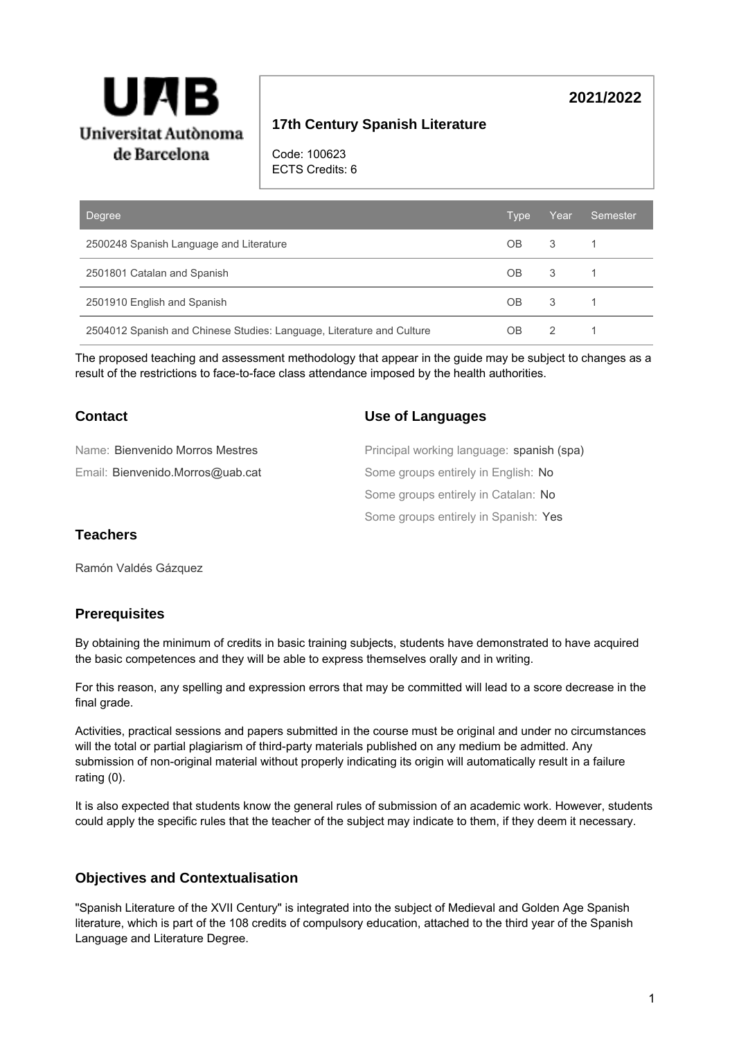

# **17th Century Spanish Literature**

Code: 100623 ECTS Credits: 6

| <b>Degree</b>                                                         | Type      | Year | Semester |
|-----------------------------------------------------------------------|-----------|------|----------|
| 2500248 Spanish Language and Literature                               | OB.       | 3    |          |
| 2501801 Catalan and Spanish                                           | <b>OB</b> | 3    |          |
| 2501910 English and Spanish                                           | OB        | 3    |          |
| 2504012 Spanish and Chinese Studies: Language, Literature and Culture | OΒ        | 2    |          |

The proposed teaching and assessment methodology that appear in the guide may be subject to changes as a result of the restrictions to face-to-face class attendance imposed by the health authorities.

| Contact                          | Use of Languages                          |
|----------------------------------|-------------------------------------------|
| Name: Bienvenido Morros Mestres  | Principal working language: spanish (spa) |
| Email: Bienvenido.Morros@uab.cat | Some groups entirely in English: No       |
|                                  | Some groups entirely in Catalan: No       |
|                                  | Some groups entirely in Spanish: Yes      |

## **Teachers**

Ramón Valdés Gázquez

### **Prerequisites**

By obtaining the minimum of credits in basic training subjects, students have demonstrated to have acquired the basic competences and they will be able to express themselves orally and in writing.

For this reason, any spelling and expression errors that may be committed will lead to a score decrease in the final grade.

Activities, practical sessions and papers submitted in the course must be original and under no circumstances will the total or partial plagiarism of third-party materials published on any medium be admitted. Any submission of non-original material without properly indicating its origin will automatically result in a failure rating (0).

It is also expected that students know the general rules of submission of an academic work. However, students could apply the specific rules that the teacher of the subject may indicate to them, if they deem it necessary.

### **Objectives and Contextualisation**

"Spanish Literature of the XVII Century" is integrated into the subject of Medieval and Golden Age Spanish literature, which is part of the 108 credits of compulsory education, attached to the third year of the Spanish Language and Literature Degree.

**2021/2022**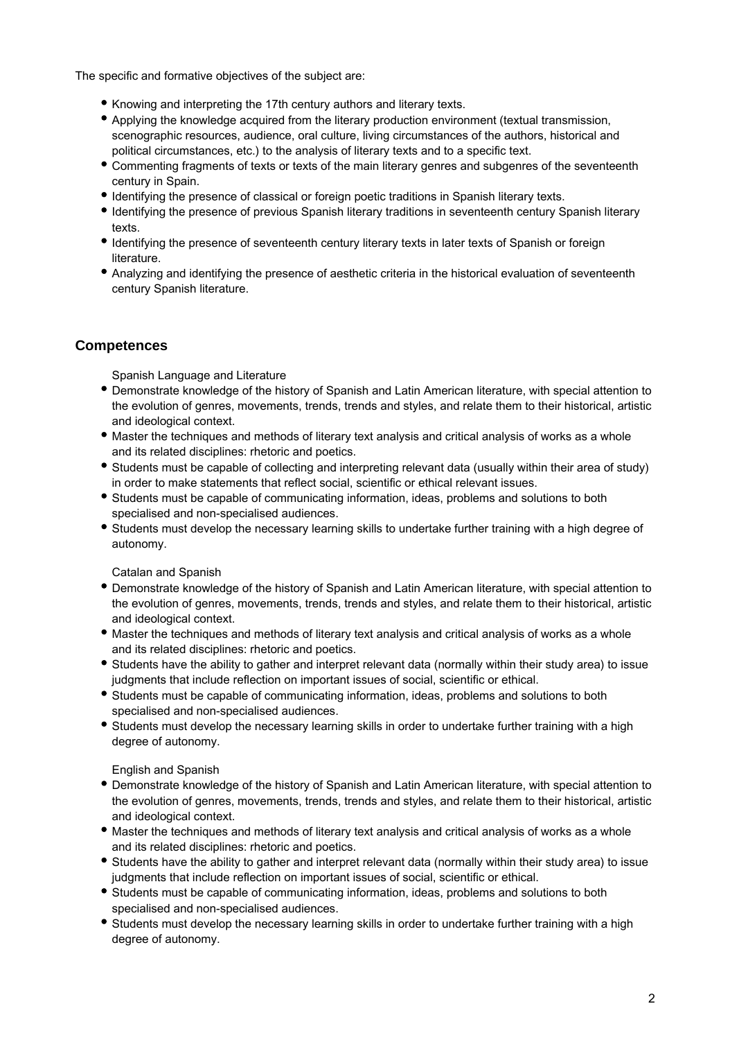The specific and formative objectives of the subject are:

- Knowing and interpreting the 17th century authors and literary texts.
- Applying the knowledge acquired from the literary production environment (textual transmission, scenographic resources, audience, oral culture, living circumstances of the authors, historical and political circumstances, etc.) to the analysis of literary texts and to a specific text.
- Commenting fragments of texts or texts of the main literary genres and subgenres of the seventeenth century in Spain.
- Identifying the presence of classical or foreign poetic traditions in Spanish literary texts.
- Identifying the presence of previous Spanish literary traditions in seventeenth century Spanish literary texts.
- Identifying the presence of seventeenth century literary texts in later texts of Spanish or foreign literature.
- Analyzing and identifying the presence of aesthetic criteria in the historical evaluation of seventeenth century Spanish literature.

# **Competences**

Spanish Language and Literature

- Demonstrate knowledge of the history of Spanish and Latin American literature, with special attention to the evolution of genres, movements, trends, trends and styles, and relate them to their historical, artistic and ideological context.
- Master the techniques and methods of literary text analysis and critical analysis of works as a whole and its related disciplines: rhetoric and poetics.
- Students must be capable of collecting and interpreting relevant data (usually within their area of study) in order to make statements that reflect social, scientific or ethical relevant issues.
- Students must be capable of communicating information, ideas, problems and solutions to both specialised and non-specialised audiences.
- Students must develop the necessary learning skills to undertake further training with a high degree of autonomy.

Catalan and Spanish

- Demonstrate knowledge of the history of Spanish and Latin American literature, with special attention to the evolution of genres, movements, trends, trends and styles, and relate them to their historical, artistic and ideological context.
- Master the techniques and methods of literary text analysis and critical analysis of works as a whole and its related disciplines: rhetoric and poetics.
- Students have the ability to gather and interpret relevant data (normally within their study area) to issue judgments that include reflection on important issues of social, scientific or ethical.
- Students must be capable of communicating information, ideas, problems and solutions to both specialised and non-specialised audiences.
- Students must develop the necessary learning skills in order to undertake further training with a high degree of autonomy.

English and Spanish

- Demonstrate knowledge of the history of Spanish and Latin American literature, with special attention to the evolution of genres, movements, trends, trends and styles, and relate them to their historical, artistic and ideological context.
- Master the techniques and methods of literary text analysis and critical analysis of works as a whole and its related disciplines: rhetoric and poetics.
- Students have the ability to gather and interpret relevant data (normally within their study area) to issue judgments that include reflection on important issues of social, scientific or ethical.
- Students must be capable of communicating information, ideas, problems and solutions to both specialised and non-specialised audiences.
- Students must develop the necessary learning skills in order to undertake further training with a high degree of autonomy.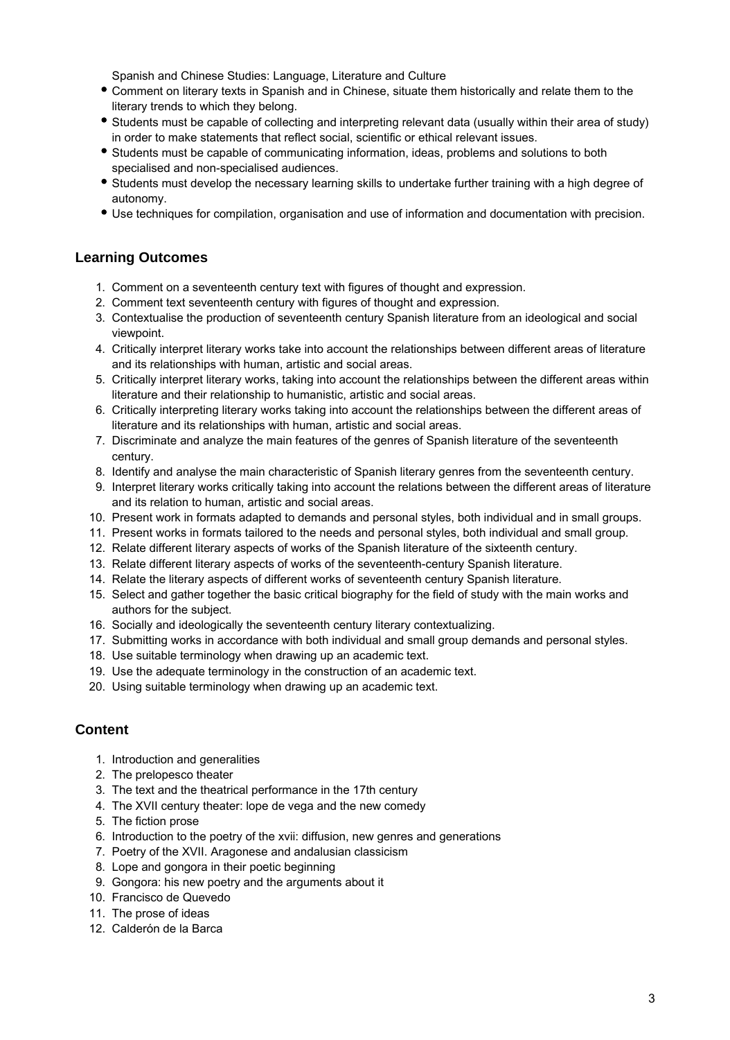Spanish and Chinese Studies: Language, Literature and Culture

- Comment on literary texts in Spanish and in Chinese, situate them historically and relate them to the literary trends to which they belong.
- Students must be capable of collecting and interpreting relevant data (usually within their area of study) in order to make statements that reflect social, scientific or ethical relevant issues.
- Students must be capable of communicating information, ideas, problems and solutions to both specialised and non-specialised audiences.
- Students must develop the necessary learning skills to undertake further training with a high degree of autonomy.
- Use techniques for compilation, organisation and use of information and documentation with precision.

# **Learning Outcomes**

- 1. Comment on a seventeenth century text with figures of thought and expression.
- 2. Comment text seventeenth century with figures of thought and expression.
- 3. Contextualise the production of seventeenth century Spanish literature from an ideological and social viewpoint.
- 4. Critically interpret literary works take into account the relationships between different areas of literature and its relationships with human, artistic and social areas.
- 5. Critically interpret literary works, taking into account the relationships between the different areas within literature and their relationship to humanistic, artistic and social areas.
- 6. Critically interpreting literary works taking into account the relationships between the different areas of literature and its relationships with human, artistic and social areas.
- 7. Discriminate and analyze the main features of the genres of Spanish literature of the seventeenth century.
- 8. Identify and analyse the main characteristic of Spanish literary genres from the seventeenth century.
- 9. Interpret literary works critically taking into account the relations between the different areas of literature and its relation to human, artistic and social areas.
- 10. Present work in formats adapted to demands and personal styles, both individual and in small groups.
- 11. Present works in formats tailored to the needs and personal styles, both individual and small group.
- 12. Relate different literary aspects of works of the Spanish literature of the sixteenth century.
- 13. Relate different literary aspects of works of the seventeenth-century Spanish literature.
- 14. Relate the literary aspects of different works of seventeenth century Spanish literature.
- 15. Select and gather together the basic critical biography for the field of study with the main works and authors for the subject.
- 16. Socially and ideologically the seventeenth century literary contextualizing.
- 17. Submitting works in accordance with both individual and small group demands and personal styles.
- 18. Use suitable terminology when drawing up an academic text.
- 19. Use the adequate terminology in the construction of an academic text.
- 20. Using suitable terminology when drawing up an academic text.

## **Content**

- 1. Introduction and generalities
- 2. The prelopesco theater
- 3. The text and the theatrical performance in the 17th century
- 4. The XVII century theater: lope de vega and the new comedy
- 5. The fiction prose
- 6. Introduction to the poetry of the xvii: diffusion, new genres and generations
- 7. Poetry of the XVII. Aragonese and andalusian classicism
- 8. Lope and gongora in their poetic beginning
- 9. Gongora: his new poetry and the arguments about it
- 10. Francisco de Quevedo
- 11. The prose of ideas
- 12. Calderón de la Barca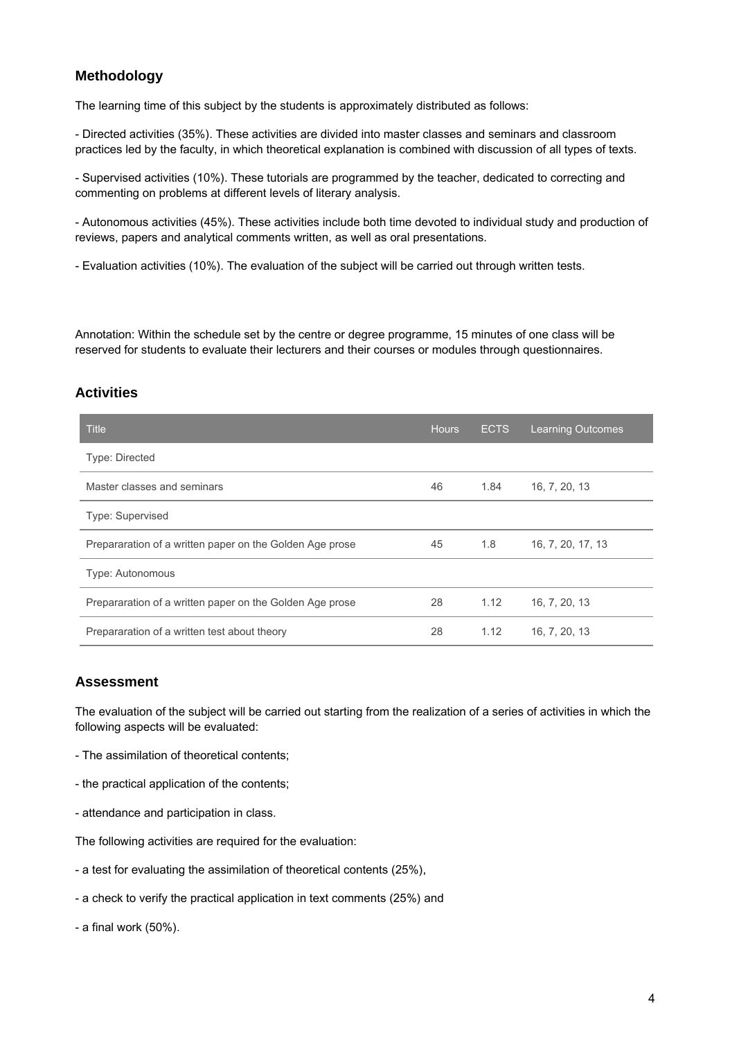# **Methodology**

The learning time of this subject by the students is approximately distributed as follows:

- Directed activities (35%). These activities are divided into master classes and seminars and classroom practices led by the faculty, in which theoretical explanation is combined with discussion of all types of texts.

- Supervised activities (10%). These tutorials are programmed by the teacher, dedicated to correcting and commenting on problems at different levels of literary analysis.

- Autonomous activities (45%). These activities include both time devoted to individual study and production of reviews, papers and analytical comments written, as well as oral presentations.

- Evaluation activities (10%). The evaluation of the subject will be carried out through written tests.

Annotation: Within the schedule set by the centre or degree programme, 15 minutes of one class will be reserved for students to evaluate their lecturers and their courses or modules through questionnaires.

### **Activities**

| <b>Title</b>                                             | <b>Hours</b> | <b>ECTS</b> | <b>Learning Outcomes</b> |
|----------------------------------------------------------|--------------|-------------|--------------------------|
| <b>Type: Directed</b>                                    |              |             |                          |
| Master classes and seminars                              | 46           | 1.84        | 16, 7, 20, 13            |
| <b>Type: Supervised</b>                                  |              |             |                          |
| Prepararation of a written paper on the Golden Age prose | 45           | 1.8         | 16, 7, 20, 17, 13        |
| Type: Autonomous                                         |              |             |                          |
| Prepararation of a written paper on the Golden Age prose | 28           | 1.12        | 16, 7, 20, 13            |
| Prepararation of a written test about theory             | 28           | 1.12        | 16, 7, 20, 13            |

### **Assessment**

The evaluation of the subject will be carried out starting from the realization of a series of activities in which the following aspects will be evaluated:

- The assimilation of theoretical contents;
- the practical application of the contents;
- attendance and participation in class.

The following activities are required for the evaluation:

- a test for evaluating the assimilation of theoretical contents (25%),
- a check to verify the practical application in text comments (25%) and
- a final work (50%).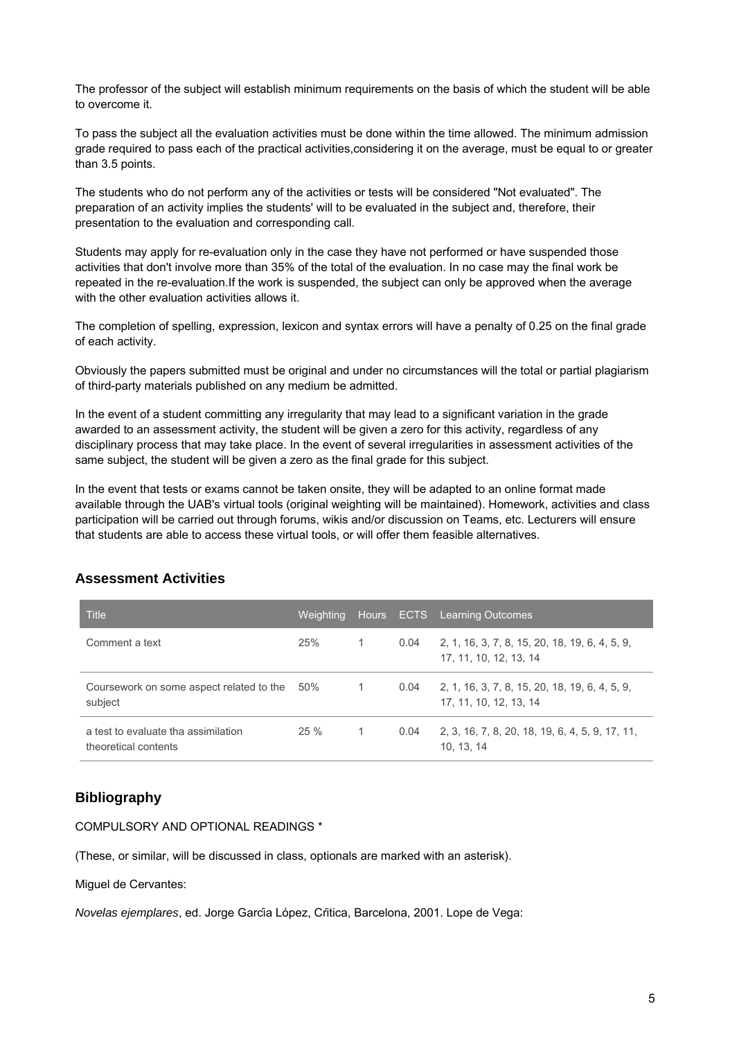The professor of the subject will establish minimum requirements on the basis of which the student will be able to overcome it.

To pass the subject all the evaluation activities must be done within the time allowed. The minimum admission grade required to pass each of the practical activities,considering it on the average, must be equal to or greater than 3.5 points.

The students who do not perform any of the activities or tests will be considered "Not evaluated". The preparation of an activity implies the students' will to be evaluated in the subject and, therefore, their presentation to the evaluation and corresponding call.

Students may apply for re-evaluation only in the case they have not performed or have suspended those activities that don't involve more than 35% of the total of the evaluation. In no case may the final work be repeated in the re-evaluation.If the work is suspended, the subject can only be approved when the average with the other evaluation activities allows it.

The completion of spelling, expression, lexicon and syntax errors will have a penalty of 0.25 on the final grade of each activity.

Obviously the papers submitted must be original and under no circumstances will the total or partial plagiarism of third-party materials published on any medium be admitted.

In the event of a student committing any irregularity that may lead to a significant variation in the grade awarded to an assessment activity, the student will be given a zero for this activity, regardless of any disciplinary process that may take place. In the event of several irregularities in assessment activities of the same subject, the student will be given a zero as the final grade for this subject.

In the event that tests or exams cannot be taken onsite, they will be adapted to an online format made available through the UAB's virtual tools (original weighting will be maintained). Homework, activities and class participation will be carried out through forums, wikis and/or discussion on Teams, etc. Lecturers will ensure that students are able to access these virtual tools, or will offer them feasible alternatives.

# **Assessment Activities**

| <b>Title</b>                                                | <b>Weighting</b> |                |      | Hours ECTS Learning Outcomes                                             |
|-------------------------------------------------------------|------------------|----------------|------|--------------------------------------------------------------------------|
| Comment a text                                              | 25%              | $\overline{1}$ | 0.04 | 2, 1, 16, 3, 7, 8, 15, 20, 18, 19, 6, 4, 5, 9,<br>17, 11, 10, 12, 13, 14 |
| Coursework on some aspect related to the<br>subject         | 50%              | $\overline{1}$ | 0.04 | 2, 1, 16, 3, 7, 8, 15, 20, 18, 19, 6, 4, 5, 9,<br>17, 11, 10, 12, 13, 14 |
| a test to evaluate tha assimilation<br>theoretical contents | 25%              | $\overline{1}$ | 0.04 | 2, 3, 16, 7, 8, 20, 18, 19, 6, 4, 5, 9, 17, 11,<br>10, 13, 14            |

## **Bibliography**

COMPULSORY AND OPTIONAL READINGS \*

(These, or similar, will be discussed in class, optionals are marked with an asterisk).

Miguel de Cervantes:

Novelas ejemplares, ed. Jorge García López, Crítica, Barcelona, 2001. Lope de Vega: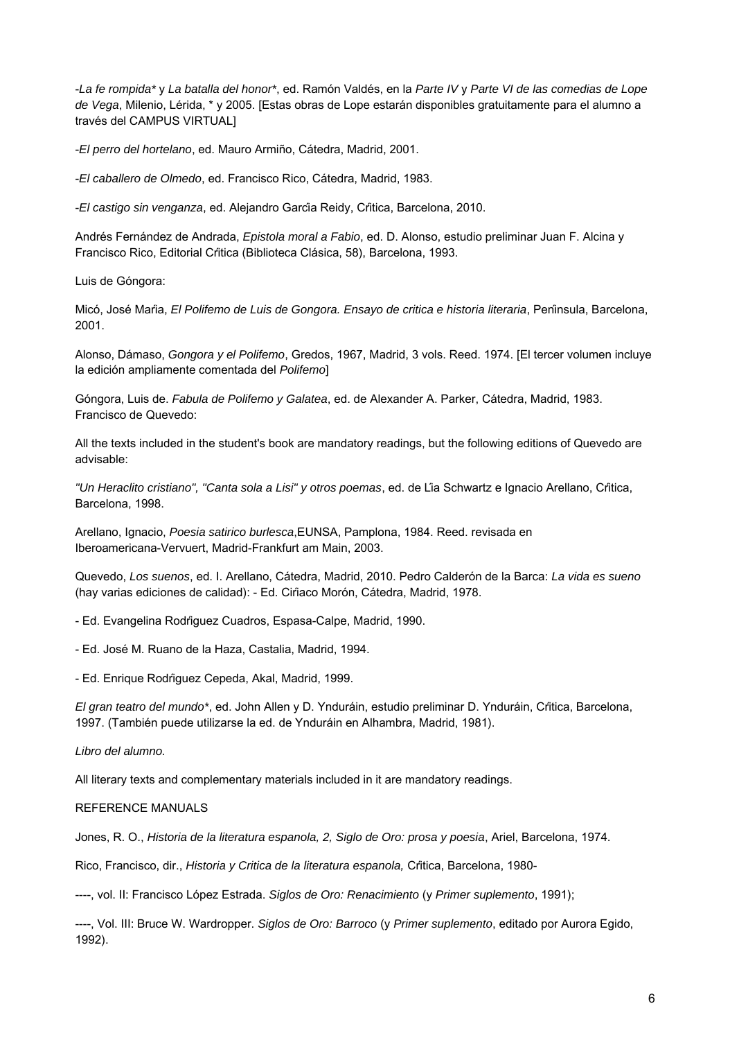-La fe rompida\* y La batalla del honor\*, ed. Ramón Valdés, en la Parte IV y Parte VI de las comedias de Lope de Vega, Milenio, Lérida, \* y 2005. [Estas obras de Lope estarán disponibles gratuitamente para el alumno a través del CAMPUS VIRTUAL]

-El perro del hortelano, ed. Mauro Armiño, Cátedra, Madrid, 2001.

-El caballero de Olmedo, ed. Francisco Rico, Cátedra, Madrid, 1983.

-El castigo sin venganza, ed. Alejandro García Reidy, Crítica, Barcelona, 2010.

Andrés Fernández de Andrada, Epistola moral a Fabio, ed. D. Alonso, estudio preliminar Juan F. Alcina y Francisco Rico, Editorial Crítica (Biblioteca Clásica, 58), Barcelona, 1993.

Luis de Góngora:

Micó, José María, El Polifemo de Luis de Gongora. Ensayo de critica e historia literaria, Península, Barcelona, 2001.

Alonso, Dámaso, Gongora y el Polifemo, Gredos, 1967, Madrid, 3 vols. Reed. 1974. [El tercer volumen incluye la edición ampliamente comentada del Polifemo]

Góngora, Luis de. Fabula de Polifemo y Galatea, ed. de Alexander A. Parker, Cátedra, Madrid, 1983. Francisco de Quevedo:

All the texts included in the student's book are mandatory readings, but the following editions of Quevedo are advisable:

"Un Heraclito cristiano", "Canta sola a Lisi" y otros poemas, ed. de Lía Schwartz e Ignacio Arellano, Crítica, Barcelona, 1998.

Arellano, Ignacio, Poesia satirico burlesca,EUNSA, Pamplona, 1984. Reed. revisada en Iberoamericana-Vervuert, Madrid-Frankfurt am Main, 2003.

Quevedo, Los suenos, ed. I. Arellano, Cátedra, Madrid, 2010. Pedro Calderón de la Barca: La vida es sueno (hay varias ediciones de calidad): - Ed. Ciríaco Morón, Cátedra, Madrid, 1978.

- Ed. Evangelina Rodríguez Cuadros, Espasa-Calpe, Madrid, 1990.

- Ed. José M. Ruano de la Haza, Castalia, Madrid, 1994.

- Ed. Enrique Rodríguez Cepeda, Akal, Madrid, 1999.

El gran teatro del mundo\*, ed. John Allen y D. Ynduráin, estudio preliminar D. Ynduráin, Crítica, Barcelona, 1997. (También puede utilizarse la ed. de Ynduráin en Alhambra, Madrid, 1981).

Libro del alumno.

All literary texts and complementary materials included in it are mandatory readings.

REFERENCE MANUALS

Jones, R. O., Historia de la literatura espanola, 2, Siglo de Oro: prosa y poesia, Ariel, Barcelona, 1974.

Rico, Francisco, dir., Historia y Critica de la literatura espanola, Crítica, Barcelona, 1980-

----, vol. II: Francisco López Estrada. Siglos de Oro: Renacimiento (y Primer suplemento, 1991);

----, Vol. III: Bruce W. Wardropper. Siglos de Oro: Barroco (y Primer suplemento, editado por Aurora Egido, 1992).